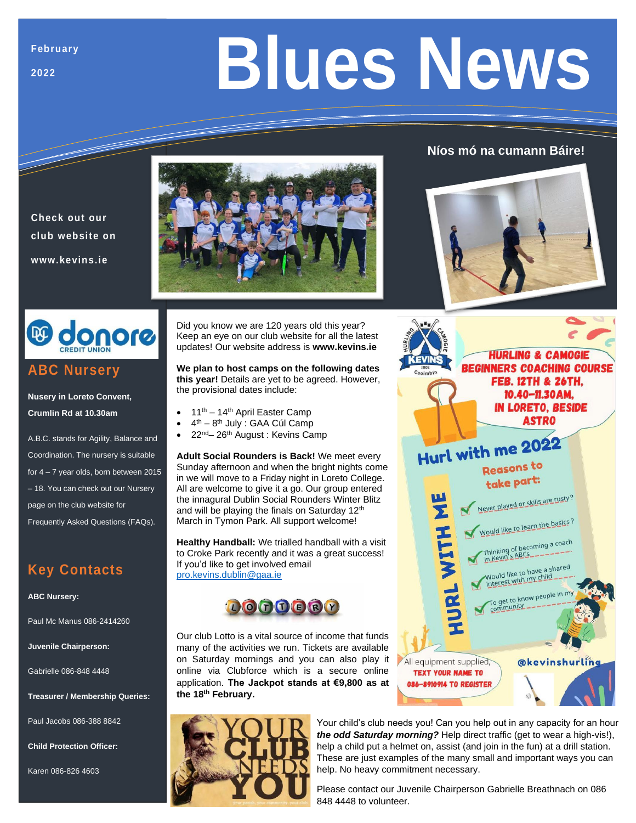**2022**

# **Blues News**

## **Níos mó na cumann Báire!**





## **ABC Nursery**

**Check out our club website on** 

**www.kevins.ie**

**Nusery in Loreto Convent, Crumlin Rd at 10.30am**

A.B.C. stands for Agility, Balance and Coordination. The nursery is suitable for 4 – 7 year olds, born between 2015 – 18. You can check out our Nursery page on the club website for Frequently Asked Questions (FAQs).

# **Key Contacts**

#### **ABC Nursery:**

Paul Mc Manus 086-2414260

**Juvenile Chairperson:**

Gabrielle 086-848 4448

**Treasurer / Membership Queries:**

Paul Jacobs 086-388 8842

**Child Protection Officer:**

Karen 086-826 4603

Did you know we are 120 years old this year? Keep an eye on our club website for all the latest updates! Our website address is **www.kevins.ie**

**We plan to host camps on the following dates this year!** Details are yet to be agreed. However, the provisional dates include:

- 11<sup>th</sup> 14<sup>th</sup> April Easter Camp
- $\bullet$  4<sup>th</sup> 8<sup>th</sup> July : GAA Cúl Camp
- 22<sup>nd</sup>– 26<sup>th</sup> August: Kevins Camp

**Adult Social Rounders is Back!** We meet every Sunday afternoon and when the bright nights come in we will move to a Friday night in Loreto College. All are welcome to give it a go. Our group entered the innagural Dublin Social Rounders Winter Blitz and will be playing the finals on Saturday 12<sup>th</sup> March in Tymon Park. All support welcome!

**Healthy Handball:** We trialled handball with a visit to Croke Park recently and it was a great success! If you'd like to get involved email [pro.kevins.dublin@gaa.ie](mailto:pro.kevins.dublin@gaa.ie)



Our club Lotto is a vital source of income that funds many of the activities we run. Tickets are available on Saturday mornings and you can also play it online via Clubforce which is a secure online application. **The Jackpot stands at €9,800 as at the 18th February.**



## **HURLING & CAMOGIE BEGINNERS COACHING COURSE FEB. 12TH & 26TH.** 10.40-11.30AM, **IN LORETO, BESIDE ASTRO** Hurl with me 2022 Reasons to take part: Never played or skills are rusty? **W**<br>Z Would like to learn the basics? HURL WITH Would like to have a shared<br>interest with my child To get to know people in m All equipment supplied, **@kevinshurling TEXT YOUR NAME TO** 086-8910914 TO REGISTER

Your child's club needs you! Can you help out in any capacity for an hour *the odd Saturday morning?* Help direct traffic (get to wear a high-vis!), help a child put a helmet on, assist (and join in the fun) at a drill station. These are just examples of the many small and important ways you can help. No heavy commitment necessary.

Please contact our Juvenile Chairperson Gabrielle Breathnach on 086 848 4448 to volunteer.